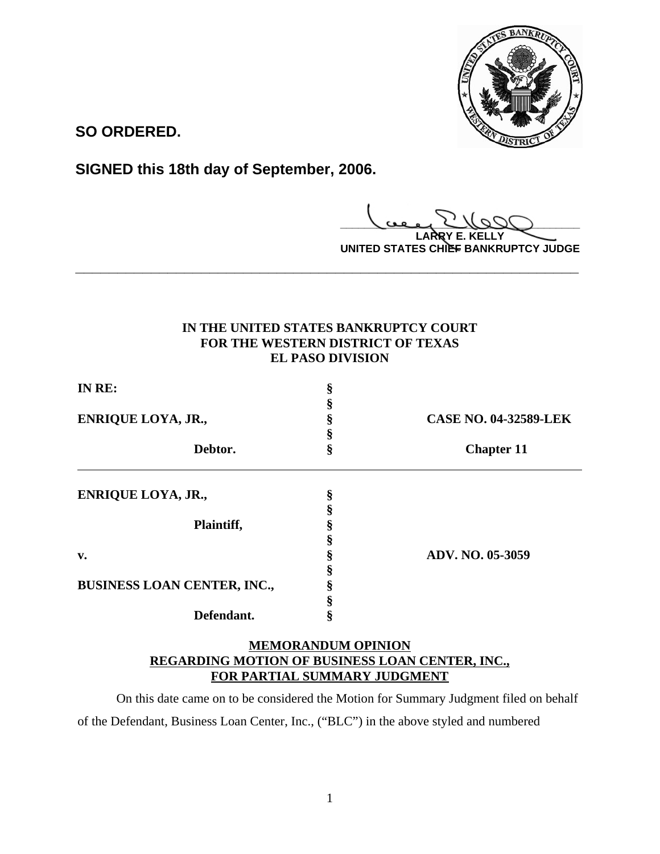

**SO ORDERED.**

**SIGNED this 18th day of September, 2006.**

**\_\_\_\_\_\_\_\_\_\_\_\_\_\_\_\_\_\_\_\_\_\_\_\_\_\_\_\_\_\_\_\_\_\_\_\_\_\_\_\_ LARRY E. KELLY**

**UNITED STATES CHIEF BANKRUPTCY JUDGE**

# **IN THE UNITED STATES BANKRUPTCY COURT FOR THE WESTERN DISTRICT OF TEXAS EL PASO DIVISION**

**\_\_\_\_\_\_\_\_\_\_\_\_\_\_\_\_\_\_\_\_\_\_\_\_\_\_\_\_\_\_\_\_\_\_\_\_\_\_\_\_\_\_\_\_\_\_\_\_\_\_\_\_\_\_\_\_\_\_\_\_**

| IN RE:<br><b>ENRIQUE LOYA, JR.,</b><br>Debtor. |  | <b>CASE NO. 04-32589-LEK</b><br><b>Chapter 11</b> |                           |   |  |
|------------------------------------------------|--|---------------------------------------------------|---------------------------|---|--|
|                                                |  |                                                   |                           |   |  |
|                                                |  |                                                   |                           |   |  |
|                                                |  |                                                   | <b>ENRIQUE LOYA, JR.,</b> | ş |  |
|                                                |  |                                                   |                           |   |  |
| Plaintiff,                                     |  |                                                   |                           |   |  |
|                                                |  |                                                   |                           |   |  |
| v.                                             |  | ADV. NO. 05-3059                                  |                           |   |  |
|                                                |  |                                                   |                           |   |  |
| BUSINESS LOAN CENTER, INC.,                    |  |                                                   |                           |   |  |
|                                                |  |                                                   |                           |   |  |
| Defendant.                                     |  |                                                   |                           |   |  |

# **MEMORANDUM OPINION REGARDING MOTION OF BUSINESS LOAN CENTER, INC., FOR PARTIAL SUMMARY JUDGMENT**

On this date came on to be considered the Motion for Summary Judgment filed on behalf of the Defendant, Business Loan Center, Inc., ("BLC") in the above styled and numbered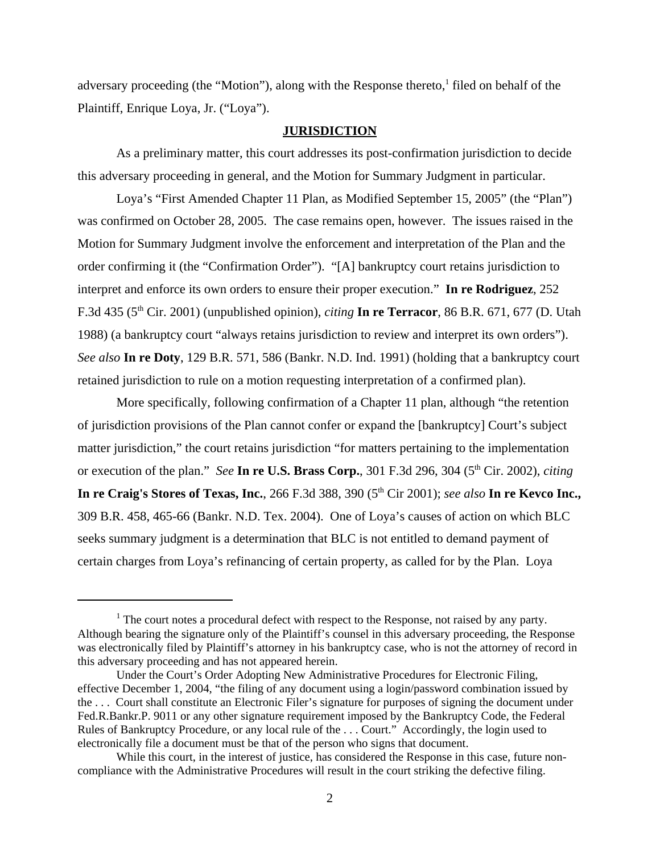adversary proceeding (the "Motion"), along with the Response thereto,<sup>1</sup> filed on behalf of the Plaintiff, Enrique Loya, Jr. ("Loya").

## **JURISDICTION**

As a preliminary matter, this court addresses its post-confirmation jurisdiction to decide this adversary proceeding in general, and the Motion for Summary Judgment in particular.

Loya's "First Amended Chapter 11 Plan, as Modified September 15, 2005" (the "Plan") was confirmed on October 28, 2005. The case remains open, however. The issues raised in the Motion for Summary Judgment involve the enforcement and interpretation of the Plan and the order confirming it (the "Confirmation Order"). "[A] bankruptcy court retains jurisdiction to interpret and enforce its own orders to ensure their proper execution." **In re Rodriguez**, 252 F.3d 435 (5th Cir. 2001) (unpublished opinion), *citing* **In re Terracor**, 86 B.R. 671, 677 (D. Utah 1988) (a bankruptcy court "always retains jurisdiction to review and interpret its own orders"). *See also* **In re Doty**, 129 B.R. 571, 586 (Bankr. N.D. Ind. 1991) (holding that a bankruptcy court retained jurisdiction to rule on a motion requesting interpretation of a confirmed plan).

More specifically, following confirmation of a Chapter 11 plan, although "the retention of jurisdiction provisions of the Plan cannot confer or expand the [bankruptcy] Court's subject matter jurisdiction," the court retains jurisdiction "for matters pertaining to the implementation or execution of the plan." *See* In re U.S. Brass Corp., 301 F.3d 296, 304 (5<sup>th</sup> Cir. 2002), *citing* **In re Craig's Stores of Texas, Inc.**, 266 F.3d 388, 390 (5<sup>th</sup> Cir 2001); *see also* **In re Kevco Inc.,** 309 B.R. 458, 465-66 (Bankr. N.D. Tex. 2004). One of Loya's causes of action on which BLC seeks summary judgment is a determination that BLC is not entitled to demand payment of certain charges from Loya's refinancing of certain property, as called for by the Plan. Loya

 $<sup>1</sup>$  The court notes a procedural defect with respect to the Response, not raised by any party.</sup> Although bearing the signature only of the Plaintiff's counsel in this adversary proceeding, the Response was electronically filed by Plaintiff's attorney in his bankruptcy case, who is not the attorney of record in this adversary proceeding and has not appeared herein.

Under the Court's Order Adopting New Administrative Procedures for Electronic Filing, effective December 1, 2004, "the filing of any document using a login/password combination issued by the . . . Court shall constitute an Electronic Filer's signature for purposes of signing the document under Fed.R.Bankr.P. 9011 or any other signature requirement imposed by the Bankruptcy Code, the Federal Rules of Bankruptcy Procedure, or any local rule of the . . . Court." Accordingly, the login used to electronically file a document must be that of the person who signs that document.

While this court, in the interest of justice, has considered the Response in this case, future noncompliance with the Administrative Procedures will result in the court striking the defective filing.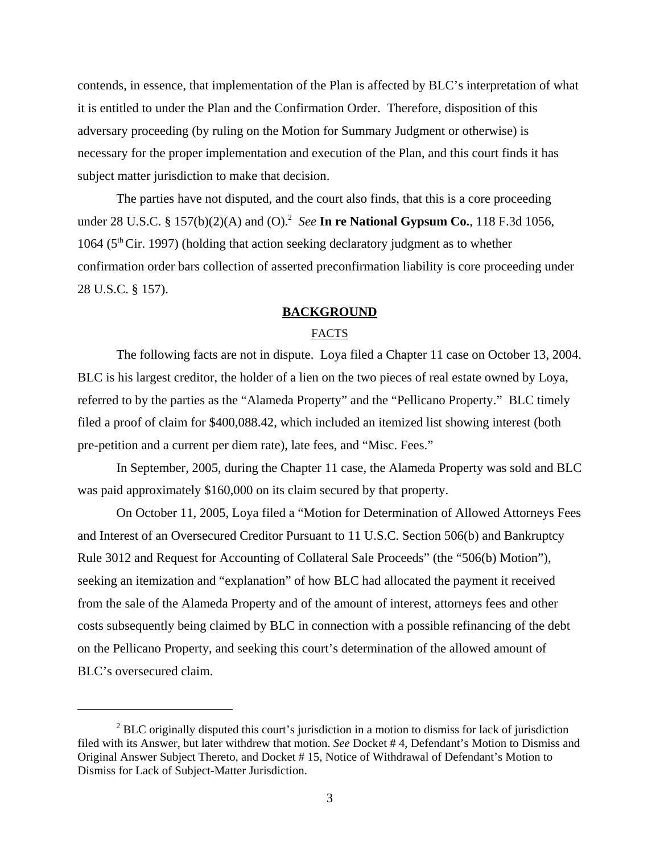contends, in essence, that implementation of the Plan is affected by BLC's interpretation of what it is entitled to under the Plan and the Confirmation Order. Therefore, disposition of this adversary proceeding (by ruling on the Motion for Summary Judgment or otherwise) is necessary for the proper implementation and execution of the Plan, and this court finds it has subject matter jurisdiction to make that decision.

The parties have not disputed, and the court also finds, that this is a core proceeding under 28 U.S.C. § 157(b)(2)(A) and (O).2 *See* **In re National Gypsum Co.**, 118 F.3d 1056, 1064 ( $5<sup>th</sup>$  Cir. 1997) (holding that action seeking declaratory judgment as to whether confirmation order bars collection of asserted preconfirmation liability is core proceeding under 28 U.S.C. § 157).

## **BACKGROUND**

## FACTS

The following facts are not in dispute. Loya filed a Chapter 11 case on October 13, 2004. BLC is his largest creditor, the holder of a lien on the two pieces of real estate owned by Loya, referred to by the parties as the "Alameda Property" and the "Pellicano Property." BLC timely filed a proof of claim for \$400,088.42, which included an itemized list showing interest (both pre-petition and a current per diem rate), late fees, and "Misc. Fees."

In September, 2005, during the Chapter 11 case, the Alameda Property was sold and BLC was paid approximately \$160,000 on its claim secured by that property.

On October 11, 2005, Loya filed a "Motion for Determination of Allowed Attorneys Fees and Interest of an Oversecured Creditor Pursuant to 11 U.S.C. Section 506(b) and Bankruptcy Rule 3012 and Request for Accounting of Collateral Sale Proceeds" (the "506(b) Motion"), seeking an itemization and "explanation" of how BLC had allocated the payment it received from the sale of the Alameda Property and of the amount of interest, attorneys fees and other costs subsequently being claimed by BLC in connection with a possible refinancing of the debt on the Pellicano Property, and seeking this court's determination of the allowed amount of BLC's oversecured claim.

 $2$  BLC originally disputed this court's jurisdiction in a motion to dismiss for lack of jurisdiction filed with its Answer, but later withdrew that motion. *See* Docket # 4, Defendant's Motion to Dismiss and Original Answer Subject Thereto, and Docket # 15, Notice of Withdrawal of Defendant's Motion to Dismiss for Lack of Subject-Matter Jurisdiction.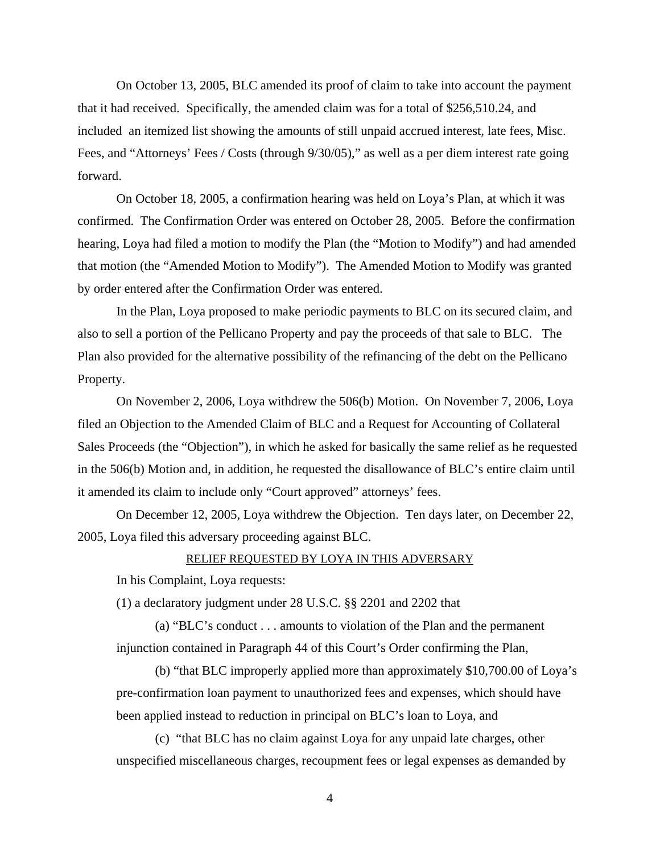On October 13, 2005, BLC amended its proof of claim to take into account the payment that it had received. Specifically, the amended claim was for a total of \$256,510.24, and included an itemized list showing the amounts of still unpaid accrued interest, late fees, Misc. Fees, and "Attorneys' Fees / Costs (through 9/30/05)," as well as a per diem interest rate going forward.

On October 18, 2005, a confirmation hearing was held on Loya's Plan, at which it was confirmed. The Confirmation Order was entered on October 28, 2005. Before the confirmation hearing, Loya had filed a motion to modify the Plan (the "Motion to Modify") and had amended that motion (the "Amended Motion to Modify"). The Amended Motion to Modify was granted by order entered after the Confirmation Order was entered.

In the Plan, Loya proposed to make periodic payments to BLC on its secured claim, and also to sell a portion of the Pellicano Property and pay the proceeds of that sale to BLC. The Plan also provided for the alternative possibility of the refinancing of the debt on the Pellicano Property.

On November 2, 2006, Loya withdrew the 506(b) Motion. On November 7, 2006, Loya filed an Objection to the Amended Claim of BLC and a Request for Accounting of Collateral Sales Proceeds (the "Objection"), in which he asked for basically the same relief as he requested in the 506(b) Motion and, in addition, he requested the disallowance of BLC's entire claim until it amended its claim to include only "Court approved" attorneys' fees.

On December 12, 2005, Loya withdrew the Objection. Ten days later, on December 22, 2005, Loya filed this adversary proceeding against BLC.

## RELIEF REQUESTED BY LOYA IN THIS ADVERSARY

In his Complaint, Loya requests:

(1) a declaratory judgment under 28 U.S.C. §§ 2201 and 2202 that

(a) "BLC's conduct . . . amounts to violation of the Plan and the permanent injunction contained in Paragraph 44 of this Court's Order confirming the Plan,

(b) "that BLC improperly applied more than approximately \$10,700.00 of Loya's pre-confirmation loan payment to unauthorized fees and expenses, which should have been applied instead to reduction in principal on BLC's loan to Loya, and

(c) "that BLC has no claim against Loya for any unpaid late charges, other unspecified miscellaneous charges, recoupment fees or legal expenses as demanded by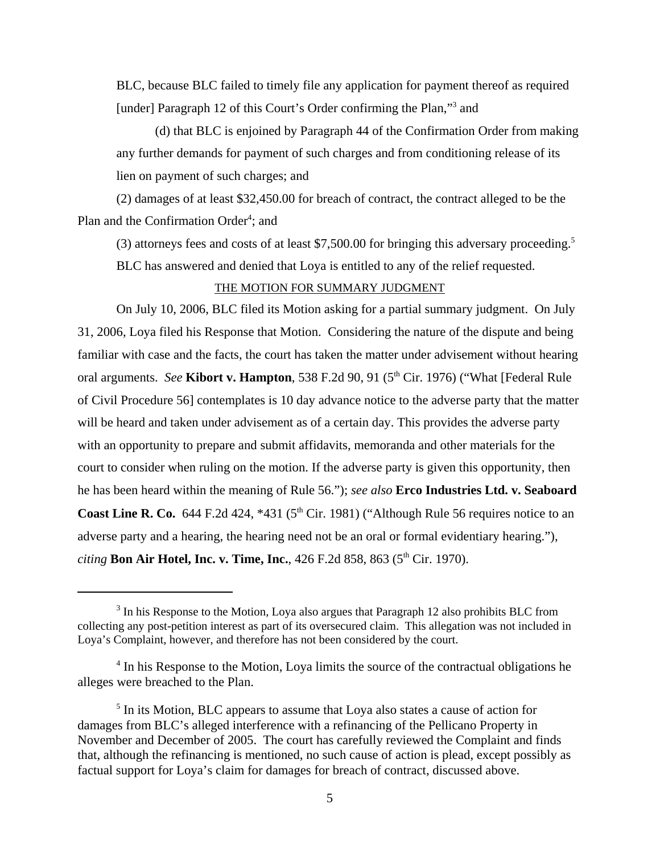BLC, because BLC failed to timely file any application for payment thereof as required [under] Paragraph 12 of this Court's Order confirming the Plan,"<sup>3</sup> and

(d) that BLC is enjoined by Paragraph 44 of the Confirmation Order from making any further demands for payment of such charges and from conditioning release of its lien on payment of such charges; and

(2) damages of at least \$32,450.00 for breach of contract, the contract alleged to be the Plan and the Confirmation Order<sup>4</sup>; and

(3) attorneys fees and costs of at least  $$7,500.00$  for bringing this adversary proceeding.<sup>5</sup>

BLC has answered and denied that Loya is entitled to any of the relief requested.

## THE MOTION FOR SUMMARY JUDGMENT

On July 10, 2006, BLC filed its Motion asking for a partial summary judgment. On July 31, 2006, Loya filed his Response that Motion. Considering the nature of the dispute and being familiar with case and the facts, the court has taken the matter under advisement without hearing oral arguments. *See* **Kibort v. Hampton**, 538 F.2d 90, 91 (5<sup>th</sup> Cir. 1976) ("What [Federal Rule of Civil Procedure 56] contemplates is 10 day advance notice to the adverse party that the matter will be heard and taken under advisement as of a certain day. This provides the adverse party with an opportunity to prepare and submit affidavits, memoranda and other materials for the court to consider when ruling on the motion. If the adverse party is given this opportunity, then he has been heard within the meaning of Rule 56."); *see also* **Erco Industries Ltd. v. Seaboard Coast Line R. Co.** 644 F.2d 424,  $*431$  ( $5<sup>th</sup>$  Cir. 1981) ("Although Rule 56 requires notice to an adverse party and a hearing, the hearing need not be an oral or formal evidentiary hearing."), *citing* **Bon Air Hotel, Inc. v. Time, Inc.**, 426 F.2d 858, 863 (5<sup>th</sup> Cir. 1970).

<sup>&</sup>lt;sup>3</sup> In his Response to the Motion, Loya also argues that Paragraph 12 also prohibits BLC from collecting any post-petition interest as part of its oversecured claim. This allegation was not included in Loya's Complaint, however, and therefore has not been considered by the court.

<sup>&</sup>lt;sup>4</sup> In his Response to the Motion, Loya limits the source of the contractual obligations he alleges were breached to the Plan.

<sup>&</sup>lt;sup>5</sup> In its Motion, BLC appears to assume that Loya also states a cause of action for damages from BLC's alleged interference with a refinancing of the Pellicano Property in November and December of 2005. The court has carefully reviewed the Complaint and finds that, although the refinancing is mentioned, no such cause of action is plead, except possibly as factual support for Loya's claim for damages for breach of contract, discussed above.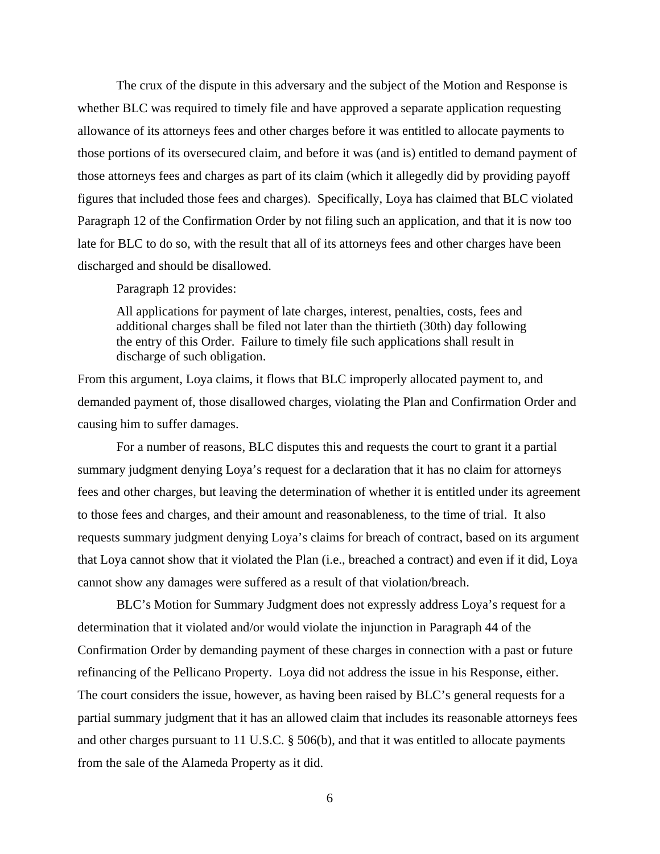The crux of the dispute in this adversary and the subject of the Motion and Response is whether BLC was required to timely file and have approved a separate application requesting allowance of its attorneys fees and other charges before it was entitled to allocate payments to those portions of its oversecured claim, and before it was (and is) entitled to demand payment of those attorneys fees and charges as part of its claim (which it allegedly did by providing payoff figures that included those fees and charges). Specifically, Loya has claimed that BLC violated Paragraph 12 of the Confirmation Order by not filing such an application, and that it is now too late for BLC to do so, with the result that all of its attorneys fees and other charges have been discharged and should be disallowed.

Paragraph 12 provides:

All applications for payment of late charges, interest, penalties, costs, fees and additional charges shall be filed not later than the thirtieth (30th) day following the entry of this Order. Failure to timely file such applications shall result in discharge of such obligation.

From this argument, Loya claims, it flows that BLC improperly allocated payment to, and demanded payment of, those disallowed charges, violating the Plan and Confirmation Order and causing him to suffer damages.

For a number of reasons, BLC disputes this and requests the court to grant it a partial summary judgment denying Loya's request for a declaration that it has no claim for attorneys fees and other charges, but leaving the determination of whether it is entitled under its agreement to those fees and charges, and their amount and reasonableness, to the time of trial. It also requests summary judgment denying Loya's claims for breach of contract, based on its argument that Loya cannot show that it violated the Plan (i.e., breached a contract) and even if it did, Loya cannot show any damages were suffered as a result of that violation/breach.

BLC's Motion for Summary Judgment does not expressly address Loya's request for a determination that it violated and/or would violate the injunction in Paragraph 44 of the Confirmation Order by demanding payment of these charges in connection with a past or future refinancing of the Pellicano Property. Loya did not address the issue in his Response, either. The court considers the issue, however, as having been raised by BLC's general requests for a partial summary judgment that it has an allowed claim that includes its reasonable attorneys fees and other charges pursuant to 11 U.S.C. § 506(b), and that it was entitled to allocate payments from the sale of the Alameda Property as it did.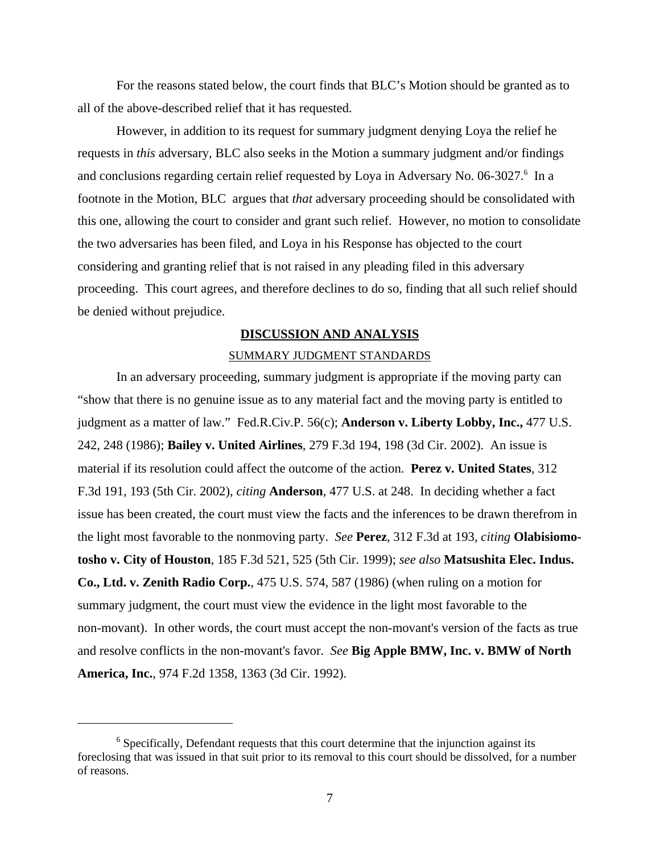For the reasons stated below, the court finds that BLC's Motion should be granted as to all of the above-described relief that it has requested.

However, in addition to its request for summary judgment denying Loya the relief he requests in *this* adversary, BLC also seeks in the Motion a summary judgment and/or findings and conclusions regarding certain relief requested by Loya in Adversary No. 06-3027.<sup>6</sup> In a footnote in the Motion, BLC argues that *that* adversary proceeding should be consolidated with this one, allowing the court to consider and grant such relief. However, no motion to consolidate the two adversaries has been filed, and Loya in his Response has objected to the court considering and granting relief that is not raised in any pleading filed in this adversary proceeding. This court agrees, and therefore declines to do so, finding that all such relief should be denied without prejudice.

## **DISCUSSION AND ANALYSIS**

#### SUMMARY JUDGMENT STANDARDS

In an adversary proceeding, summary judgment is appropriate if the moving party can "show that there is no genuine issue as to any material fact and the moving party is entitled to judgment as a matter of law." Fed.R.Civ.P. 56(c); **Anderson v. Liberty Lobby, Inc.,** 477 U.S. 242, 248 (1986); **Bailey v. United Airlines**, 279 F.3d 194, 198 (3d Cir. 2002). An issue is material if its resolution could affect the outcome of the action. **Perez v. United States**, 312 F.3d 191, 193 (5th Cir. 2002), *citing* **Anderson**, 477 U.S. at 248. In deciding whether a fact issue has been created, the court must view the facts and the inferences to be drawn therefrom in the light most favorable to the nonmoving party. *See* **Perez**, 312 F.3d at 193, *citing* **Olabisiomotosho v. City of Houston**, 185 F.3d 521, 525 (5th Cir. 1999); *see also* **Matsushita Elec. Indus. Co., Ltd. v. Zenith Radio Corp.**, 475 U.S. 574, 587 (1986) (when ruling on a motion for summary judgment, the court must view the evidence in the light most favorable to the non-movant). In other words, the court must accept the non-movant's version of the facts as true and resolve conflicts in the non-movant's favor. *See* **Big Apple BMW, Inc. v. BMW of North America, Inc.**, 974 F.2d 1358, 1363 (3d Cir. 1992).

<sup>&</sup>lt;sup>6</sup> Specifically, Defendant requests that this court determine that the injunction against its foreclosing that was issued in that suit prior to its removal to this court should be dissolved, for a number of reasons.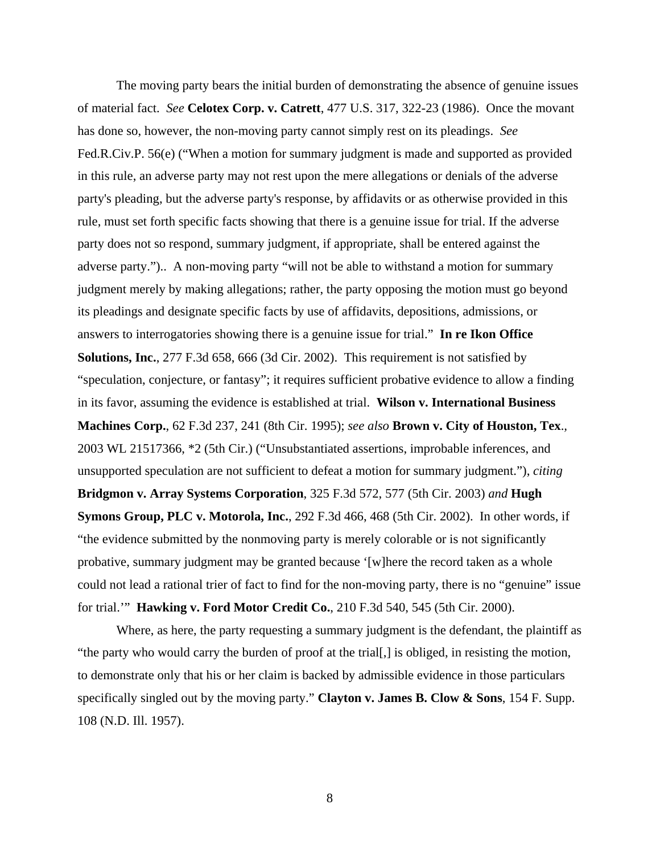The moving party bears the initial burden of demonstrating the absence of genuine issues of material fact. *See* **Celotex Corp. v. Catrett**, 477 U.S. 317, 322-23 (1986). Once the movant has done so, however, the non-moving party cannot simply rest on its pleadings. *See* Fed.R.Civ.P. 56(e) ("When a motion for summary judgment is made and supported as provided in this rule, an adverse party may not rest upon the mere allegations or denials of the adverse party's pleading, but the adverse party's response, by affidavits or as otherwise provided in this rule, must set forth specific facts showing that there is a genuine issue for trial. If the adverse party does not so respond, summary judgment, if appropriate, shall be entered against the adverse party.").. A non-moving party "will not be able to withstand a motion for summary judgment merely by making allegations; rather, the party opposing the motion must go beyond its pleadings and designate specific facts by use of affidavits, depositions, admissions, or answers to interrogatories showing there is a genuine issue for trial." **In re Ikon Office Solutions, Inc.**, 277 F.3d 658, 666 (3d Cir. 2002). This requirement is not satisfied by "speculation, conjecture, or fantasy"; it requires sufficient probative evidence to allow a finding in its favor, assuming the evidence is established at trial. **Wilson v. International Business Machines Corp.**, 62 F.3d 237, 241 (8th Cir. 1995); *see also* **Brown v. City of Houston, Tex**.*,* 2003 WL 21517366, \*2 (5th Cir.) ("Unsubstantiated assertions, improbable inferences, and unsupported speculation are not sufficient to defeat a motion for summary judgment."), *citing* **Bridgmon v. Array Systems Corporation**, 325 F.3d 572, 577 (5th Cir. 2003) *and* **Hugh Symons Group, PLC v. Motorola, Inc.**, 292 F.3d 466, 468 (5th Cir. 2002). In other words, if "the evidence submitted by the nonmoving party is merely colorable or is not significantly probative, summary judgment may be granted because '[w]here the record taken as a whole could not lead a rational trier of fact to find for the non-moving party, there is no "genuine" issue for trial.'" **Hawking v. Ford Motor Credit Co.**, 210 F.3d 540, 545 (5th Cir. 2000).

Where, as here, the party requesting a summary judgment is the defendant, the plaintiff as "the party who would carry the burden of proof at the trial[,] is obliged, in resisting the motion, to demonstrate only that his or her claim is backed by admissible evidence in those particulars specifically singled out by the moving party." **Clayton v. James B. Clow & Sons**, 154 F. Supp. 108 (N.D. Ill. 1957).

8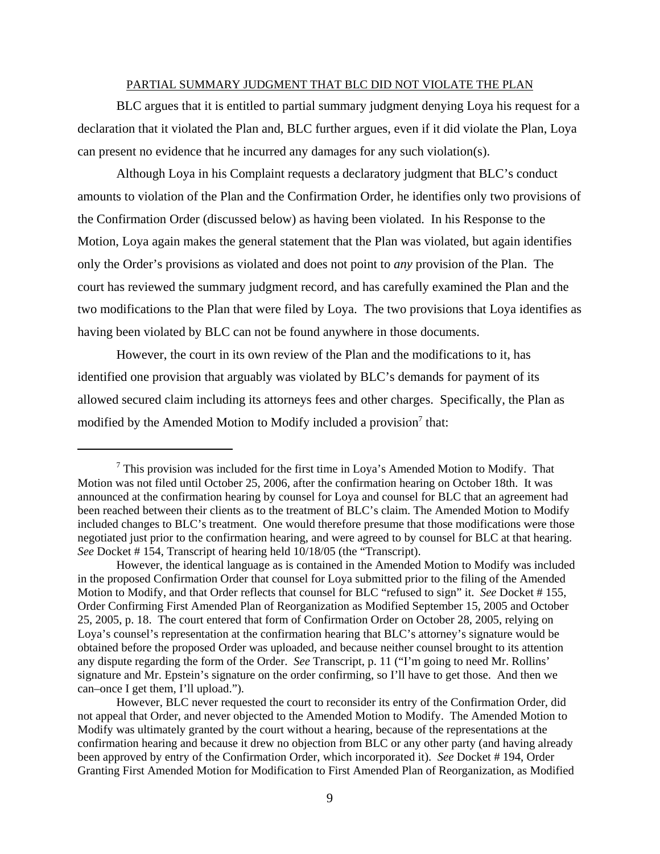#### PARTIAL SUMMARY JUDGMENT THAT BLC DID NOT VIOLATE THE PLAN

BLC argues that it is entitled to partial summary judgment denying Loya his request for a declaration that it violated the Plan and, BLC further argues, even if it did violate the Plan, Loya can present no evidence that he incurred any damages for any such violation(s).

Although Loya in his Complaint requests a declaratory judgment that BLC's conduct amounts to violation of the Plan and the Confirmation Order, he identifies only two provisions of the Confirmation Order (discussed below) as having been violated. In his Response to the Motion, Loya again makes the general statement that the Plan was violated, but again identifies only the Order's provisions as violated and does not point to *any* provision of the Plan. The court has reviewed the summary judgment record, and has carefully examined the Plan and the two modifications to the Plan that were filed by Loya. The two provisions that Loya identifies as having been violated by BLC can not be found anywhere in those documents.

However, the court in its own review of the Plan and the modifications to it, has identified one provision that arguably was violated by BLC's demands for payment of its allowed secured claim including its attorneys fees and other charges. Specifically, the Plan as modified by the Amended Motion to Modify included a provision<sup>7</sup> that:

 $<sup>7</sup>$  This provision was included for the first time in Loya's Amended Motion to Modify. That</sup> Motion was not filed until October 25, 2006, after the confirmation hearing on October 18th. It was announced at the confirmation hearing by counsel for Loya and counsel for BLC that an agreement had been reached between their clients as to the treatment of BLC's claim. The Amended Motion to Modify included changes to BLC's treatment. One would therefore presume that those modifications were those negotiated just prior to the confirmation hearing, and were agreed to by counsel for BLC at that hearing. *See* Docket # 154, Transcript of hearing held 10/18/05 (the "Transcript).

However, the identical language as is contained in the Amended Motion to Modify was included in the proposed Confirmation Order that counsel for Loya submitted prior to the filing of the Amended Motion to Modify, and that Order reflects that counsel for BLC "refused to sign" it. *See* Docket # 155, Order Confirming First Amended Plan of Reorganization as Modified September 15, 2005 and October 25, 2005, p. 18. The court entered that form of Confirmation Order on October 28, 2005, relying on Loya's counsel's representation at the confirmation hearing that BLC's attorney's signature would be obtained before the proposed Order was uploaded, and because neither counsel brought to its attention any dispute regarding the form of the Order. *See* Transcript, p. 11 ("I'm going to need Mr. Rollins' signature and Mr. Epstein's signature on the order confirming, so I'll have to get those. And then we can–once I get them, I'll upload.").

However, BLC never requested the court to reconsider its entry of the Confirmation Order, did not appeal that Order, and never objected to the Amended Motion to Modify. The Amended Motion to Modify was ultimately granted by the court without a hearing, because of the representations at the confirmation hearing and because it drew no objection from BLC or any other party (and having already been approved by entry of the Confirmation Order, which incorporated it). *See* Docket # 194, Order Granting First Amended Motion for Modification to First Amended Plan of Reorganization, as Modified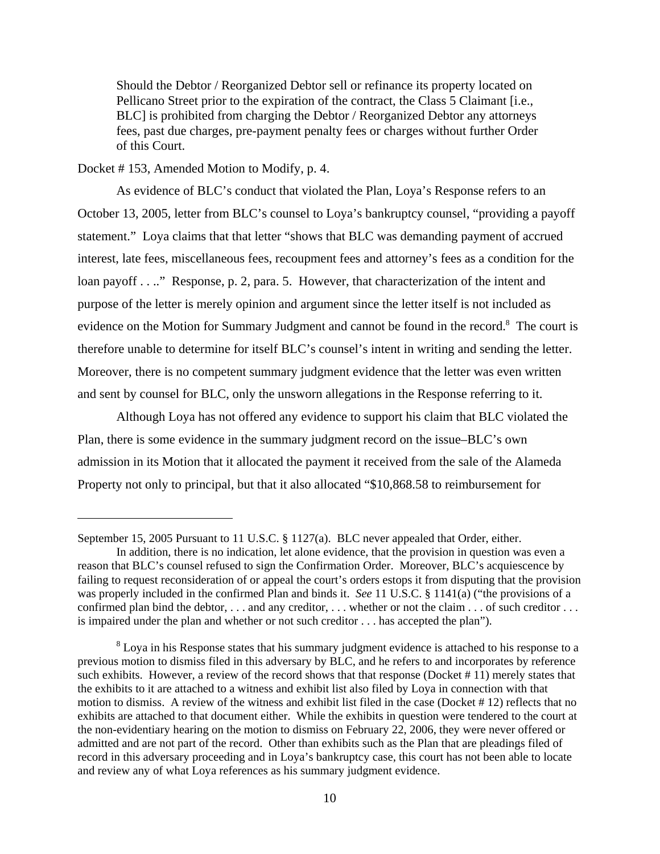Should the Debtor / Reorganized Debtor sell or refinance its property located on Pellicano Street prior to the expiration of the contract, the Class 5 Claimant [i.e., BLC] is prohibited from charging the Debtor / Reorganized Debtor any attorneys fees, past due charges, pre-payment penalty fees or charges without further Order of this Court.

Docket # 153, Amended Motion to Modify, p. 4.

As evidence of BLC's conduct that violated the Plan, Loya's Response refers to an October 13, 2005, letter from BLC's counsel to Loya's bankruptcy counsel, "providing a payoff statement." Loya claims that that letter "shows that BLC was demanding payment of accrued interest, late fees, miscellaneous fees, recoupment fees and attorney's fees as a condition for the loan payoff . . .." Response, p. 2, para. 5. However, that characterization of the intent and purpose of the letter is merely opinion and argument since the letter itself is not included as evidence on the Motion for Summary Judgment and cannot be found in the record.<sup>8</sup> The court is therefore unable to determine for itself BLC's counsel's intent in writing and sending the letter. Moreover, there is no competent summary judgment evidence that the letter was even written and sent by counsel for BLC, only the unsworn allegations in the Response referring to it.

Although Loya has not offered any evidence to support his claim that BLC violated the Plan, there is some evidence in the summary judgment record on the issue–BLC's own admission in its Motion that it allocated the payment it received from the sale of the Alameda Property not only to principal, but that it also allocated "\$10,868.58 to reimbursement for

September 15, 2005 Pursuant to 11 U.S.C. § 1127(a). BLC never appealed that Order, either.

In addition, there is no indication, let alone evidence, that the provision in question was even a reason that BLC's counsel refused to sign the Confirmation Order. Moreover, BLC's acquiescence by failing to request reconsideration of or appeal the court's orders estops it from disputing that the provision was properly included in the confirmed Plan and binds it. *See* 11 U.S.C. § 1141(a) ("the provisions of a confirmed plan bind the debtor, ... and any creditor, ... whether or not the claim ... of such creditor ... is impaired under the plan and whether or not such creditor . . . has accepted the plan").

 $8$  Loya in his Response states that his summary judgment evidence is attached to his response to a previous motion to dismiss filed in this adversary by BLC, and he refers to and incorporates by reference such exhibits. However, a review of the record shows that that response (Docket # 11) merely states that the exhibits to it are attached to a witness and exhibit list also filed by Loya in connection with that motion to dismiss. A review of the witness and exhibit list filed in the case (Docket # 12) reflects that no exhibits are attached to that document either. While the exhibits in question were tendered to the court at the non-evidentiary hearing on the motion to dismiss on February 22, 2006, they were never offered or admitted and are not part of the record. Other than exhibits such as the Plan that are pleadings filed of record in this adversary proceeding and in Loya's bankruptcy case, this court has not been able to locate and review any of what Loya references as his summary judgment evidence.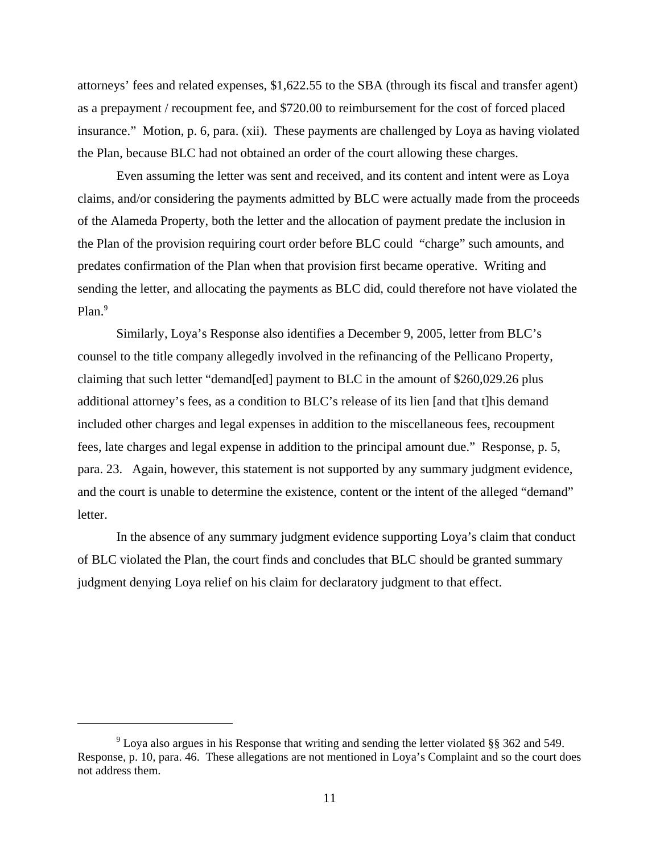attorneys' fees and related expenses, \$1,622.55 to the SBA (through its fiscal and transfer agent) as a prepayment / recoupment fee, and \$720.00 to reimbursement for the cost of forced placed insurance." Motion, p. 6, para. (xii). These payments are challenged by Loya as having violated the Plan, because BLC had not obtained an order of the court allowing these charges.

Even assuming the letter was sent and received, and its content and intent were as Loya claims, and/or considering the payments admitted by BLC were actually made from the proceeds of the Alameda Property, both the letter and the allocation of payment predate the inclusion in the Plan of the provision requiring court order before BLC could "charge" such amounts, and predates confirmation of the Plan when that provision first became operative. Writing and sending the letter, and allocating the payments as BLC did, could therefore not have violated the Plan.<sup>9</sup>

Similarly, Loya's Response also identifies a December 9, 2005, letter from BLC's counsel to the title company allegedly involved in the refinancing of the Pellicano Property, claiming that such letter "demand[ed] payment to BLC in the amount of \$260,029.26 plus additional attorney's fees, as a condition to BLC's release of its lien [and that t]his demand included other charges and legal expenses in addition to the miscellaneous fees, recoupment fees, late charges and legal expense in addition to the principal amount due." Response, p. 5, para. 23. Again, however, this statement is not supported by any summary judgment evidence, and the court is unable to determine the existence, content or the intent of the alleged "demand" letter.

In the absence of any summary judgment evidence supporting Loya's claim that conduct of BLC violated the Plan, the court finds and concludes that BLC should be granted summary judgment denying Loya relief on his claim for declaratory judgment to that effect.

<sup>&</sup>lt;sup>9</sup> Loya also argues in his Response that writing and sending the letter violated §§ 362 and 549. Response, p. 10, para. 46. These allegations are not mentioned in Loya's Complaint and so the court does not address them.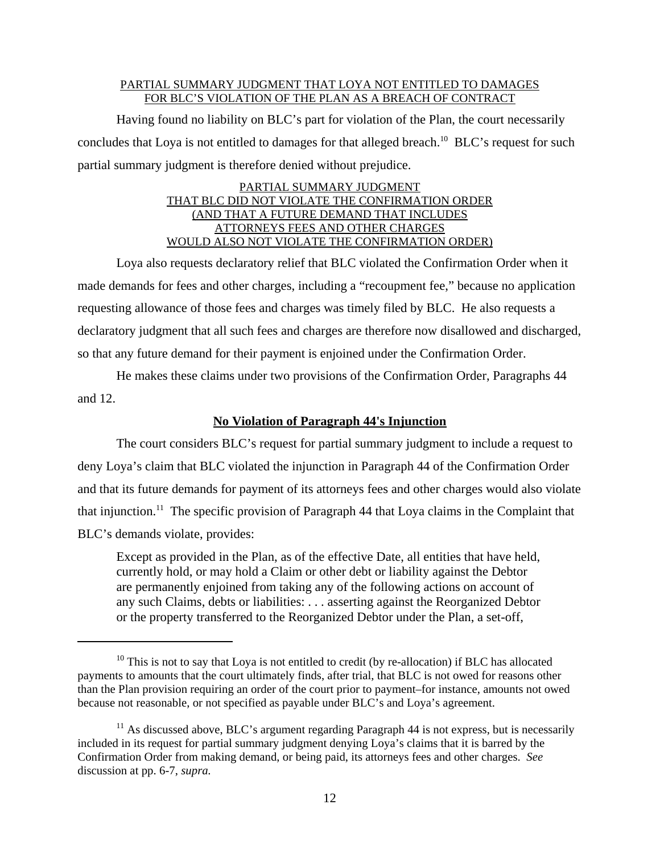## PARTIAL SUMMARY JUDGMENT THAT LOYA NOT ENTITLED TO DAMAGES FOR BLC'S VIOLATION OF THE PLAN AS A BREACH OF CONTRACT

Having found no liability on BLC's part for violation of the Plan, the court necessarily concludes that Loya is not entitled to damages for that alleged breach.<sup>10</sup> BLC's request for such partial summary judgment is therefore denied without prejudice.

## PARTIAL SUMMARY JUDGMENT THAT BLC DID NOT VIOLATE THE CONFIRMATION ORDER (AND THAT A FUTURE DEMAND THAT INCLUDES ATTORNEYS FEES AND OTHER CHARGES WOULD ALSO NOT VIOLATE THE CONFIRMATION ORDER)

Loya also requests declaratory relief that BLC violated the Confirmation Order when it made demands for fees and other charges, including a "recoupment fee," because no application requesting allowance of those fees and charges was timely filed by BLC. He also requests a declaratory judgment that all such fees and charges are therefore now disallowed and discharged, so that any future demand for their payment is enjoined under the Confirmation Order.

He makes these claims under two provisions of the Confirmation Order, Paragraphs 44 and 12.

## **No Violation of Paragraph 44's Injunction**

The court considers BLC's request for partial summary judgment to include a request to deny Loya's claim that BLC violated the injunction in Paragraph 44 of the Confirmation Order and that its future demands for payment of its attorneys fees and other charges would also violate that injunction.<sup>11</sup> The specific provision of Paragraph 44 that Loya claims in the Complaint that BLC's demands violate, provides:

Except as provided in the Plan, as of the effective Date, all entities that have held, currently hold, or may hold a Claim or other debt or liability against the Debtor are permanently enjoined from taking any of the following actions on account of any such Claims, debts or liabilities: . . . asserting against the Reorganized Debtor or the property transferred to the Reorganized Debtor under the Plan, a set-off,

 $10$  This is not to say that Loya is not entitled to credit (by re-allocation) if BLC has allocated payments to amounts that the court ultimately finds, after trial, that BLC is not owed for reasons other than the Plan provision requiring an order of the court prior to payment–for instance, amounts not owed because not reasonable, or not specified as payable under BLC's and Loya's agreement.

 $11$  As discussed above, BLC's argument regarding Paragraph 44 is not express, but is necessarily included in its request for partial summary judgment denying Loya's claims that it is barred by the Confirmation Order from making demand, or being paid, its attorneys fees and other charges. *See* discussion at pp. 6-7, *supra.*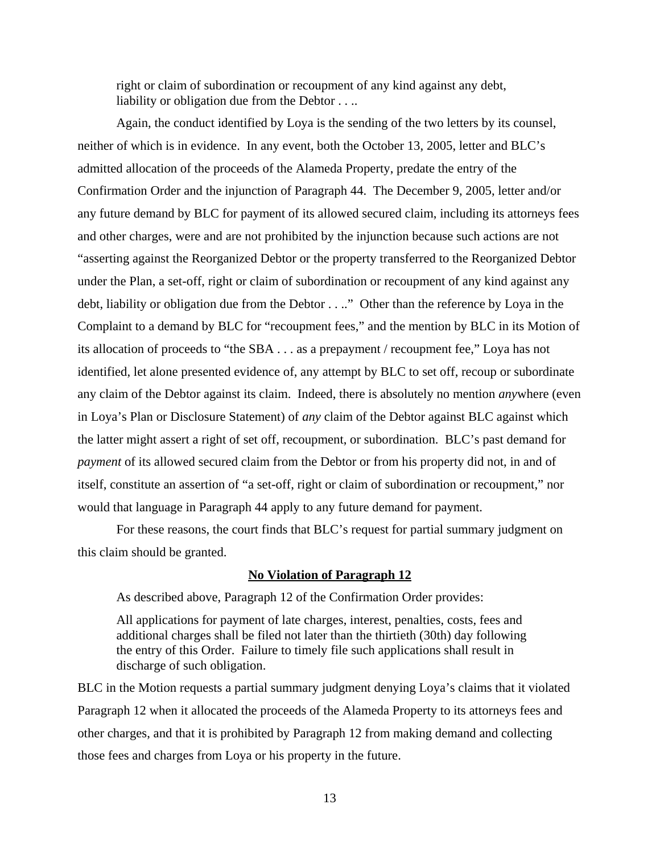right or claim of subordination or recoupment of any kind against any debt, liability or obligation due from the Debtor . . ..

Again, the conduct identified by Loya is the sending of the two letters by its counsel, neither of which is in evidence. In any event, both the October 13, 2005, letter and BLC's admitted allocation of the proceeds of the Alameda Property, predate the entry of the Confirmation Order and the injunction of Paragraph 44. The December 9, 2005, letter and/or any future demand by BLC for payment of its allowed secured claim, including its attorneys fees and other charges, were and are not prohibited by the injunction because such actions are not "asserting against the Reorganized Debtor or the property transferred to the Reorganized Debtor under the Plan, a set-off, right or claim of subordination or recoupment of any kind against any debt, liability or obligation due from the Debtor . . .." Other than the reference by Loya in the Complaint to a demand by BLC for "recoupment fees," and the mention by BLC in its Motion of its allocation of proceeds to "the SBA . . . as a prepayment / recoupment fee," Loya has not identified, let alone presented evidence of, any attempt by BLC to set off, recoup or subordinate any claim of the Debtor against its claim. Indeed, there is absolutely no mention *any*where (even in Loya's Plan or Disclosure Statement) of *any* claim of the Debtor against BLC against which the latter might assert a right of set off, recoupment, or subordination. BLC's past demand for *payment* of its allowed secured claim from the Debtor or from his property did not, in and of itself, constitute an assertion of "a set-off, right or claim of subordination or recoupment," nor would that language in Paragraph 44 apply to any future demand for payment.

For these reasons, the court finds that BLC's request for partial summary judgment on this claim should be granted.

## **No Violation of Paragraph 12**

As described above, Paragraph 12 of the Confirmation Order provides:

All applications for payment of late charges, interest, penalties, costs, fees and additional charges shall be filed not later than the thirtieth (30th) day following the entry of this Order. Failure to timely file such applications shall result in discharge of such obligation.

BLC in the Motion requests a partial summary judgment denying Loya's claims that it violated Paragraph 12 when it allocated the proceeds of the Alameda Property to its attorneys fees and other charges, and that it is prohibited by Paragraph 12 from making demand and collecting those fees and charges from Loya or his property in the future.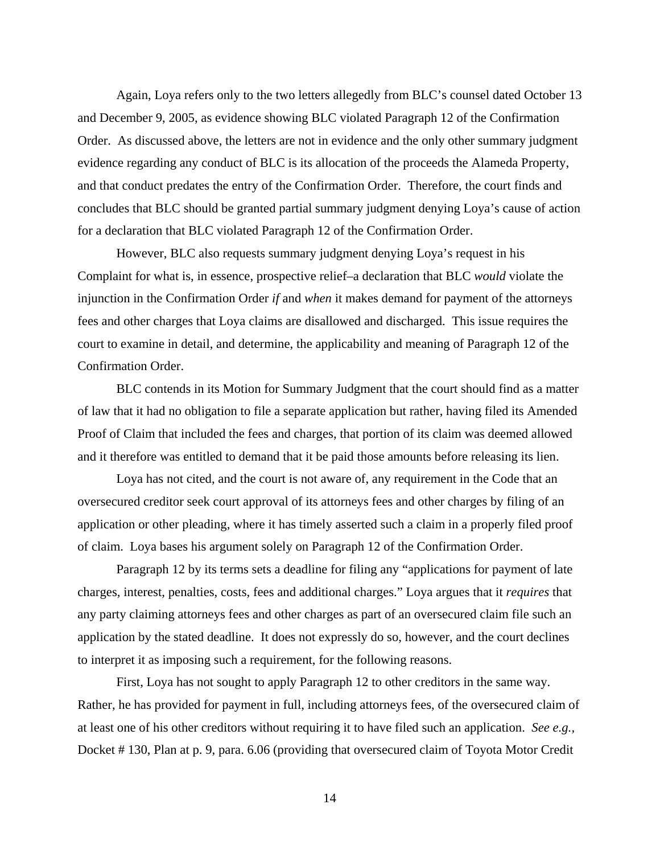Again, Loya refers only to the two letters allegedly from BLC's counsel dated October 13 and December 9, 2005, as evidence showing BLC violated Paragraph 12 of the Confirmation Order. As discussed above, the letters are not in evidence and the only other summary judgment evidence regarding any conduct of BLC is its allocation of the proceeds the Alameda Property, and that conduct predates the entry of the Confirmation Order. Therefore, the court finds and concludes that BLC should be granted partial summary judgment denying Loya's cause of action for a declaration that BLC violated Paragraph 12 of the Confirmation Order.

However, BLC also requests summary judgment denying Loya's request in his Complaint for what is, in essence, prospective relief–a declaration that BLC *would* violate the injunction in the Confirmation Order *if* and *when* it makes demand for payment of the attorneys fees and other charges that Loya claims are disallowed and discharged. This issue requires the court to examine in detail, and determine, the applicability and meaning of Paragraph 12 of the Confirmation Order.

BLC contends in its Motion for Summary Judgment that the court should find as a matter of law that it had no obligation to file a separate application but rather, having filed its Amended Proof of Claim that included the fees and charges, that portion of its claim was deemed allowed and it therefore was entitled to demand that it be paid those amounts before releasing its lien.

Loya has not cited, and the court is not aware of, any requirement in the Code that an oversecured creditor seek court approval of its attorneys fees and other charges by filing of an application or other pleading, where it has timely asserted such a claim in a properly filed proof of claim. Loya bases his argument solely on Paragraph 12 of the Confirmation Order.

Paragraph 12 by its terms sets a deadline for filing any "applications for payment of late charges, interest, penalties, costs, fees and additional charges." Loya argues that it *requires* that any party claiming attorneys fees and other charges as part of an oversecured claim file such an application by the stated deadline. It does not expressly do so, however, and the court declines to interpret it as imposing such a requirement, for the following reasons.

First, Loya has not sought to apply Paragraph 12 to other creditors in the same way. Rather, he has provided for payment in full, including attorneys fees, of the oversecured claim of at least one of his other creditors without requiring it to have filed such an application. *See e.g.,* Docket # 130, Plan at p. 9, para. 6.06 (providing that oversecured claim of Toyota Motor Credit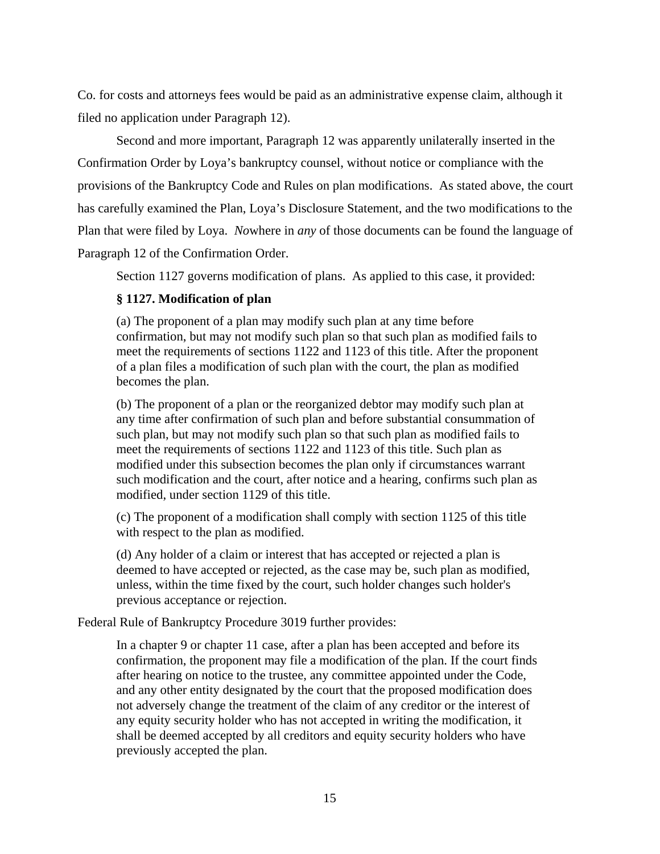Co. for costs and attorneys fees would be paid as an administrative expense claim, although it filed no application under Paragraph 12).

Second and more important, Paragraph 12 was apparently unilaterally inserted in the Confirmation Order by Loya's bankruptcy counsel, without notice or compliance with the provisions of the Bankruptcy Code and Rules on plan modifications. As stated above, the court has carefully examined the Plan, Loya's Disclosure Statement, and the two modifications to the Plan that were filed by Loya. *No*where in *any* of those documents can be found the language of Paragraph 12 of the Confirmation Order.

Section 1127 governs modification of plans. As applied to this case, it provided:

# **§ 1127. Modification of plan**

(a) The proponent of a plan may modify such plan at any time before confirmation, but may not modify such plan so that such plan as modified fails to meet the requirements of sections 1122 and 1123 of this title. After the proponent of a plan files a modification of such plan with the court, the plan as modified becomes the plan.

(b) The proponent of a plan or the reorganized debtor may modify such plan at any time after confirmation of such plan and before substantial consummation of such plan, but may not modify such plan so that such plan as modified fails to meet the requirements of sections 1122 and 1123 of this title. Such plan as modified under this subsection becomes the plan only if circumstances warrant such modification and the court, after notice and a hearing, confirms such plan as modified, under section 1129 of this title.

(c) The proponent of a modification shall comply with section 1125 of this title with respect to the plan as modified.

(d) Any holder of a claim or interest that has accepted or rejected a plan is deemed to have accepted or rejected, as the case may be, such plan as modified, unless, within the time fixed by the court, such holder changes such holder's previous acceptance or rejection.

Federal Rule of Bankruptcy Procedure 3019 further provides:

In a chapter 9 or chapter 11 case, after a plan has been accepted and before its confirmation, the proponent may file a modification of the plan. If the court finds after hearing on notice to the trustee, any committee appointed under the Code, and any other entity designated by the court that the proposed modification does not adversely change the treatment of the claim of any creditor or the interest of any equity security holder who has not accepted in writing the modification, it shall be deemed accepted by all creditors and equity security holders who have previously accepted the plan.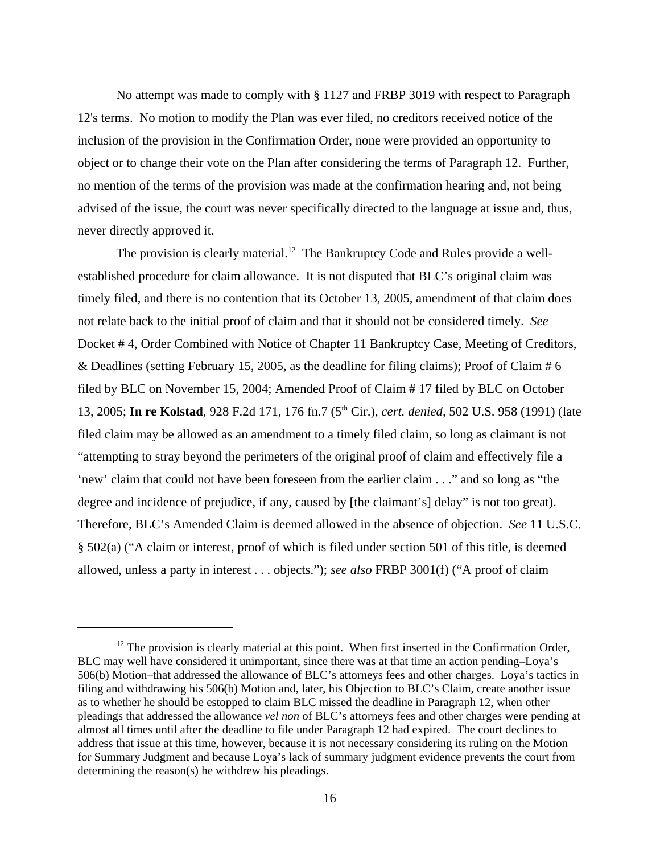No attempt was made to comply with § 1127 and FRBP 3019 with respect to Paragraph 12's terms. No motion to modify the Plan was ever filed, no creditors received notice of the inclusion of the provision in the Confirmation Order, none were provided an opportunity to object or to change their vote on the Plan after considering the terms of Paragraph 12. Further, no mention of the terms of the provision was made at the confirmation hearing and, not being advised of the issue, the court was never specifically directed to the language at issue and, thus, never directly approved it.

The provision is clearly material.<sup>12</sup> The Bankruptcy Code and Rules provide a wellestablished procedure for claim allowance. It is not disputed that BLC's original claim was timely filed, and there is no contention that its October 13, 2005, amendment of that claim does not relate back to the initial proof of claim and that it should not be considered timely. *See* Docket # 4, Order Combined with Notice of Chapter 11 Bankruptcy Case, Meeting of Creditors, & Deadlines (setting February 15, 2005, as the deadline for filing claims); Proof of Claim # 6 filed by BLC on November 15, 2004; Amended Proof of Claim # 17 filed by BLC on October 13, 2005; **In re Kolstad**, 928 F.2d 171, 176 fn.7 (5th Cir.), *cert. denied,* 502 U.S. 958 (1991) (late filed claim may be allowed as an amendment to a timely filed claim, so long as claimant is not "attempting to stray beyond the perimeters of the original proof of claim and effectively file a 'new' claim that could not have been foreseen from the earlier claim . . ." and so long as "the degree and incidence of prejudice, if any, caused by [the claimant's] delay" is not too great). Therefore, BLC's Amended Claim is deemed allowed in the absence of objection. *See* 11 U.S.C. § 502(a) ("A claim or interest, proof of which is filed under section 501 of this title, is deemed allowed, unless a party in interest . . . objects."); *see also* FRBP 3001(f) ("A proof of claim

 $12$  The provision is clearly material at this point. When first inserted in the Confirmation Order, BLC may well have considered it unimportant, since there was at that time an action pending–Loya's 506(b) Motion–that addressed the allowance of BLC's attorneys fees and other charges. Loya's tactics in filing and withdrawing his 506(b) Motion and, later, his Objection to BLC's Claim, create another issue as to whether he should be estopped to claim BLC missed the deadline in Paragraph 12, when other pleadings that addressed the allowance *vel non* of BLC's attorneys fees and other charges were pending at almost all times until after the deadline to file under Paragraph 12 had expired. The court declines to address that issue at this time, however, because it is not necessary considering its ruling on the Motion for Summary Judgment and because Loya's lack of summary judgment evidence prevents the court from determining the reason(s) he withdrew his pleadings.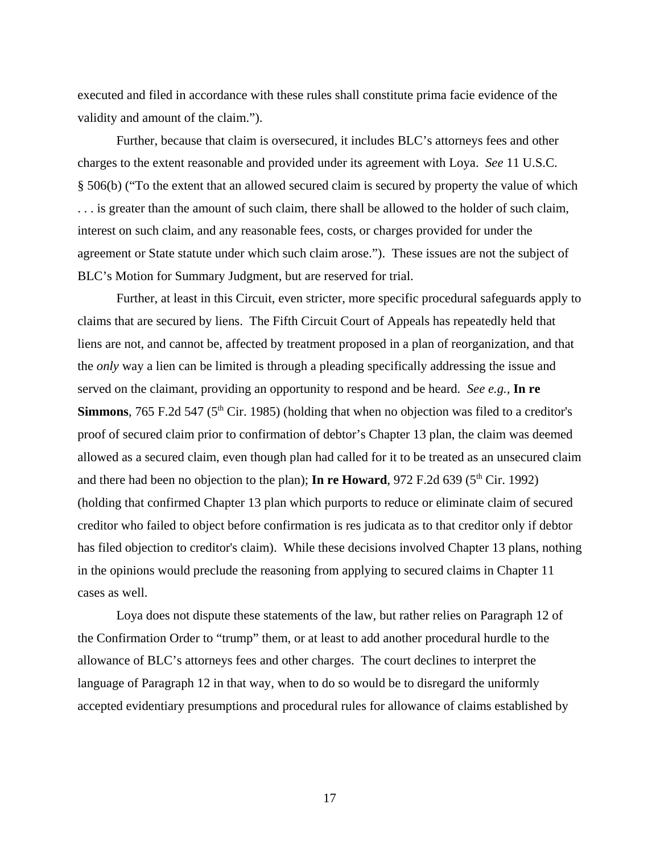executed and filed in accordance with these rules shall constitute prima facie evidence of the validity and amount of the claim.").

Further, because that claim is oversecured, it includes BLC's attorneys fees and other charges to the extent reasonable and provided under its agreement with Loya. *See* 11 U.S.C. § 506(b) ("To the extent that an allowed secured claim is secured by property the value of which . . . is greater than the amount of such claim, there shall be allowed to the holder of such claim, interest on such claim, and any reasonable fees, costs, or charges provided for under the agreement or State statute under which such claim arose."). These issues are not the subject of BLC's Motion for Summary Judgment, but are reserved for trial.

Further, at least in this Circuit, even stricter, more specific procedural safeguards apply to claims that are secured by liens. The Fifth Circuit Court of Appeals has repeatedly held that liens are not, and cannot be, affected by treatment proposed in a plan of reorganization, and that the *only* way a lien can be limited is through a pleading specifically addressing the issue and served on the claimant, providing an opportunity to respond and be heard. *See e.g.,* **In re Simmons**, 765 F.2d 547 (5<sup>th</sup> Cir. 1985) (holding that when no objection was filed to a creditor's proof of secured claim prior to confirmation of debtor's Chapter 13 plan, the claim was deemed allowed as a secured claim, even though plan had called for it to be treated as an unsecured claim and there had been no objection to the plan); **In re Howard**, 972 F.2d 639 ( $5<sup>th</sup>$  Cir. 1992) (holding that confirmed Chapter 13 plan which purports to reduce or eliminate claim of secured creditor who failed to object before confirmation is res judicata as to that creditor only if debtor has filed objection to creditor's claim). While these decisions involved Chapter 13 plans, nothing in the opinions would preclude the reasoning from applying to secured claims in Chapter 11 cases as well.

Loya does not dispute these statements of the law, but rather relies on Paragraph 12 of the Confirmation Order to "trump" them, or at least to add another procedural hurdle to the allowance of BLC's attorneys fees and other charges. The court declines to interpret the language of Paragraph 12 in that way, when to do so would be to disregard the uniformly accepted evidentiary presumptions and procedural rules for allowance of claims established by

17